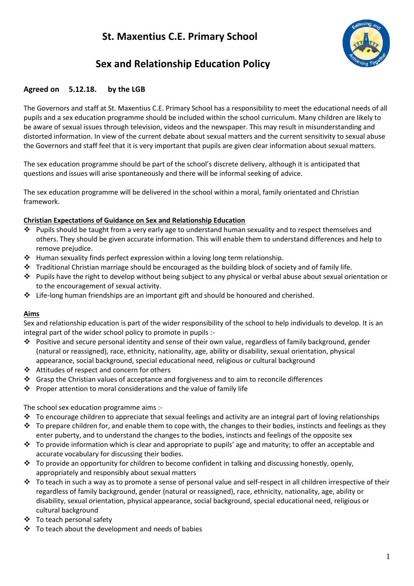# **St. Maxentius C.E. Primary School**



# **Sex and Relationship Education Policy**

## **Agreed on 5.12.18. by the LGB**

The Governors and staff at St. Maxentius C.E. Primary School has a responsibility to meet the educational needs of all pupils and a sex education programme should be included within the school curriculum. Many children are likely to be aware of sexual issues through television, videos and the newspaper. This may result in misunderstanding and distorted information. In view of the current debate about sexual matters and the current sensitivity to sexual abuse the Governors and staff feel that it is very important that pupils are given clear information about sexual matters.

The sex education programme should be part of the school's discrete delivery, although it is anticipated that questions and issues will arise spontaneously and there will be informal seeking of advice.

The sex education programme will be delivered in the school within a moral, family orientated and Christian framework.

#### **Christian Expectations of Guidance on Sex and Relationship Education**

- $\cdot \cdot$  Pupils should be taught from a very early age to understand human sexuality and to respect themselves and others. They should be given accurate information. This will enable them to understand differences and help to remove prejudice.
- $\cdot$  Human sexuality finds perfect expression within a loving long term relationship.
- $\cdot \cdot$  Traditional Christian marriage should be encouraged as the building block of society and of family life.
- $\clubsuit$  Pupils have the right to develop without being subject to any physical or verbal abuse about sexual orientation or to the encouragement of sexual activity.
- $\cdot \cdot$  Life-long human friendships are an important gift and should be honoured and cherished.

#### **Aims**

Sex and relationship education is part of the wider responsibility of the school to help individuals to develop. It is an integral part of the wider school policy to promote in pupils :-

- Positive and secure personal identity and sense of their own value, regardless of family background, gender (natural or reassigned), race, ethnicity, nationality, age, ability or disability, sexual orientation, physical appearance, social background, special educational need, religious or cultural background
- Attitudes of respect and concern for others
- Grasp the Christian values of acceptance and forgiveness and to aim to reconcile differences
- $\cdot \cdot$  Proper attention to moral considerations and the value of family life

#### The school sex education programme aims :-

- $\cdot$  To encourage children to appreciate that sexual feelings and activity are an integral part of loving relationships
- $\bullet$  To prepare children for, and enable them to cope with, the changes to their bodies, instincts and feelings as they enter puberty, and to understand the changes to the bodies, instincts and feelings of the opposite sex
- \* To provide information which is clear and appropriate to pupils' age and maturity; to offer an acceptable and accurate vocabulary for discussing their bodies.
- $\cdot \cdot$  To provide an opportunity for children to become confident in talking and discussing honestly, openly, appropriately and responsibly about sexual matters
- $\cdot \cdot$  To teach in such a way as to promote a sense of personal value and self-respect in all children irrespective of their regardless of family background, gender (natural or reassigned), race, ethnicity, nationality, age, ability or disability, sexual orientation, physical appearance, social background, special educational need, religious or cultural background
- ❖ To teach personal safety
- $\div$  To teach about the development and needs of babies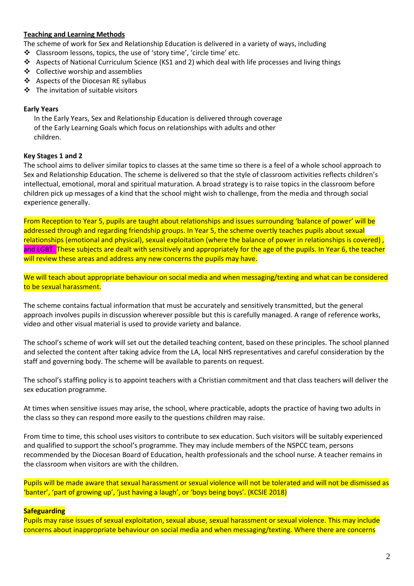## **Teaching and Learning Methods**

The scheme of work for Sex and Relationship Education is delivered in a variety of ways, including

- Classroom lessons, topics, the use of 'story time', 'circle time' etc.
- \* Aspects of National Curriculum Science (KS1 and 2) which deal with life processes and living things
- ❖ Collective worship and assemblies
- ❖ Aspects of the Diocesan RE syllabus
- The invitation of suitable visitors

## **Early Years**

 In the Early Years, Sex and Relationship Education is delivered through coverage of the Early Learning Goals which focus on relationships with adults and other children.

## **Key Stages 1 and 2**

The school aims to deliver similar topics to classes at the same time so there is a feel of a whole school approach to Sex and Relationship Education. The scheme is delivered so that the style of classroom activities reflects children's intellectual, emotional, moral and spiritual maturation. A broad strategy is to raise topics in the classroom before children pick up messages of a kind that the school might wish to challenge, from the media and through social experience generally.

From Reception to Year 5, pupils are taught about relationships and issues surrounding 'balance of power' will be addressed through and regarding friendship groups. In Year 5, the scheme overtly teaches pupils about sexual relationships (emotional and physical), sexual exploitation (where the balance of power in relationships is covered) , and LGBT. These subjects are dealt with sensitively and appropriately for the age of the pupils. In Year 6, the teacher will review these areas and address any new concerns the pupils may have.

We will teach about appropriate behaviour on social media and when messaging/texting and what can be considered to be sexual harassment.

The scheme contains factual information that must be accurately and sensitively transmitted, but the general approach involves pupils in discussion wherever possible but this is carefully managed. A range of reference works, video and other visual material is used to provide variety and balance.

The school's scheme of work will set out the detailed teaching content, based on these principles. The school planned and selected the content after taking advice from the LA, local NHS representatives and careful consideration by the staff and governing body. The scheme will be available to parents on request.

The school's staffing policy is to appoint teachers with a Christian commitment and that class teachers will deliver the sex education programme.

At times when sensitive issues may arise, the school, where practicable, adopts the practice of having two adults in the class so they can respond more easily to the questions children may raise.

From time to time, this school uses visitors to contribute to sex education. Such visitors will be suitably experienced and qualified to support the school's programme. They may include members of the NSPCC team, persons recommended by the Diocesan Board of Education, health professionals and the school nurse. A teacher remains in the classroom when visitors are with the children.

Pupils will be made aware that sexual harassment or sexual violence will not be tolerated and will not be dismissed as 'banter', 'part of growing up', 'just having a laugh', or 'boys being boys'. (KCSIE 2018)

## **Safeguarding**

Pupils may raise issues of sexual exploitation, sexual abuse, sexual harassment or sexual violence. This may include concerns about inappropriate behaviour on social media and when messaging/texting. Where there are concerns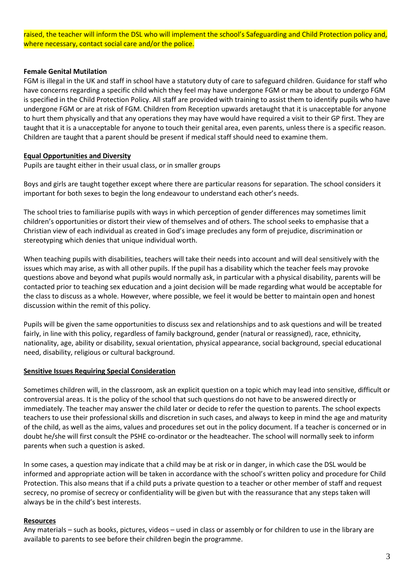raised, the teacher will inform the DSL who will implement the school's Safeguarding and Child Protection policy and, where necessary, contact social care and/or the police.

#### **Female Genital Mutilation**

FGM is illegal in the UK and staff in school have a statutory duty of care to safeguard children. Guidance for staff who have concerns regarding a specific child which they feel may have undergone FGM or may be about to undergo FGM is specified in the Child Protection Policy. All staff are provided with training to assist them to identify pupils who have undergone FGM or are at risk of FGM. Children from Reception upwards aretaught that it is unacceptable for anyone to hurt them physically and that any operations they may have would have required a visit to their GP first. They are taught that it is a unacceptable for anyone to touch their genital area, even parents, unless there is a specific reason. Children are taught that a parent should be present if medical staff should need to examine them.

#### **Equal Opportunities and Diversity**

Pupils are taught either in their usual class, or in smaller groups

Boys and girls are taught together except where there are particular reasons for separation. The school considers it important for both sexes to begin the long endeavour to understand each other's needs.

The school tries to familiarise pupils with ways in which perception of gender differences may sometimes limit children's opportunities or distort their view of themselves and of others. The school seeks to emphasise that a Christian view of each individual as created in God's image precludes any form of prejudice, discrimination or stereotyping which denies that unique individual worth.

When teaching pupils with disabilities, teachers will take their needs into account and will deal sensitively with the issues which may arise, as with all other pupils. If the pupil has a disability which the teacher feels may provoke questions above and beyond what pupils would normally ask, in particular with a physical disability, parents will be contacted prior to teaching sex education and a joint decision will be made regarding what would be acceptable for the class to discuss as a whole. However, where possible, we feel it would be better to maintain open and honest discussion within the remit of this policy.

Pupils will be given the same opportunities to discuss sex and relationships and to ask questions and will be treated fairly, in line with this policy, regardless of family background, gender (natural or reassigned), race, ethnicity, nationality, age, ability or disability, sexual orientation, physical appearance, social background, special educational need, disability, religious or cultural background.

#### **Sensitive Issues Requiring Special Consideration**

Sometimes children will, in the classroom, ask an explicit question on a topic which may lead into sensitive, difficult or controversial areas. It is the policy of the school that such questions do not have to be answered directly or immediately. The teacher may answer the child later or decide to refer the question to parents. The school expects teachers to use their professional skills and discretion in such cases, and always to keep in mind the age and maturity of the child, as well as the aims, values and procedures set out in the policy document. If a teacher is concerned or in doubt he/she will first consult the PSHE co-ordinator or the headteacher. The school will normally seek to inform parents when such a question is asked.

In some cases, a question may indicate that a child may be at risk or in danger, in which case the DSL would be informed and appropriate action will be taken in accordance with the school's written policy and procedure for Child Protection. This also means that if a child puts a private question to a teacher or other member of staff and request secrecy, no promise of secrecy or confidentiality will be given but with the reassurance that any steps taken will always be in the child's best interests.

#### **Resources**

Any materials – such as books, pictures, videos – used in class or assembly or for children to use in the library are available to parents to see before their children begin the programme.